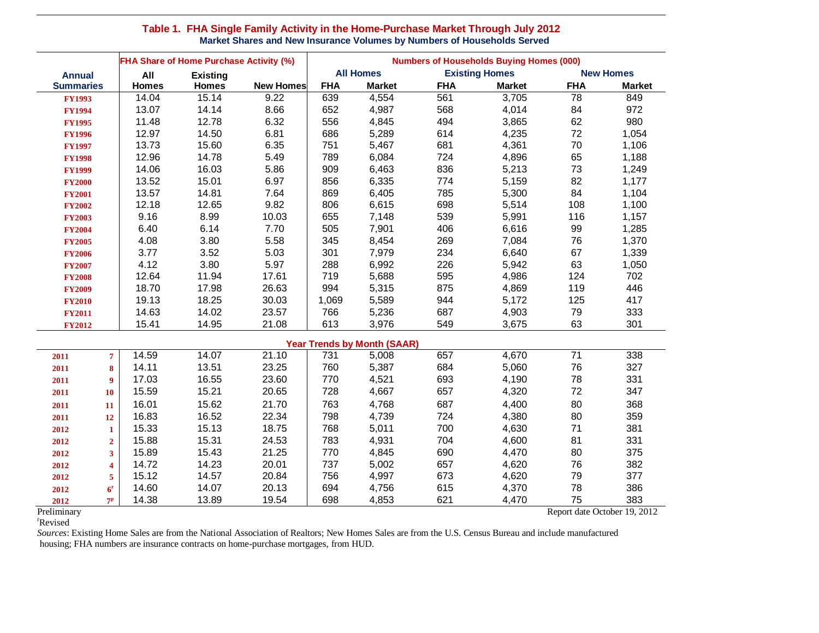## **Table 1. FHA Single Family Activity in the Home-Purchase Market Through July 2012 Market Shares and New Insurance Volumes by Numbers of Households Served**

|                  | FHA Share of Home Purchase Activity (%) |                 |                  | <b>Numbers of Households Buying Homes (000)</b> |                                    |                       |               |                  |               |
|------------------|-----------------------------------------|-----------------|------------------|-------------------------------------------------|------------------------------------|-----------------------|---------------|------------------|---------------|
| <b>Annual</b>    | All                                     | <b>Existing</b> |                  | <b>All Homes</b>                                |                                    | <b>Existing Homes</b> |               | <b>New Homes</b> |               |
| <b>Summaries</b> | <b>Homes</b>                            | <b>Homes</b>    | <b>New Homes</b> | <b>FHA</b>                                      | <b>Market</b>                      | <b>FHA</b>            | <b>Market</b> | <b>FHA</b>       | <b>Market</b> |
| <b>FY1993</b>    | 14.04                                   | 15.14           | 9.22             | 639                                             | 4,554                              | 561                   | 3,705         | 78               | 849           |
| <b>FY1994</b>    | 13.07                                   | 14.14           | 8.66             | 652                                             | 4,987                              | 568                   | 4,014         | 84               | 972           |
| <b>FY1995</b>    | 11.48                                   | 12.78           | 6.32             | 556                                             | 4,845                              | 494                   | 3,865         | 62               | 980           |
| <b>FY1996</b>    | 12.97                                   | 14.50           | 6.81             | 686                                             | 5,289                              | 614                   | 4,235         | 72               | 1,054         |
| <b>FY1997</b>    | 13.73                                   | 15.60           | 6.35             | 751                                             | 5,467                              | 681                   | 4,361         | 70               | 1,106         |
| <b>FY1998</b>    | 12.96                                   | 14.78           | 5.49             | 789                                             | 6,084                              | 724                   | 4,896         | 65               | 1,188         |
| <b>FY1999</b>    | 14.06                                   | 16.03           | 5.86             | 909                                             | 6,463                              | 836                   | 5,213         | 73               | 1,249         |
| <b>FY2000</b>    | 13.52                                   | 15.01           | 6.97             | 856                                             | 6,335                              | 774                   | 5,159         | 82               | 1,177         |
| <b>FY2001</b>    | 13.57                                   | 14.81           | 7.64             | 869                                             | 6,405                              | 785                   | 5,300         | 84               | 1,104         |
| <b>FY2002</b>    | 12.18                                   | 12.65           | 9.82             | 806                                             | 6,615                              | 698                   | 5,514         | 108              | 1,100         |
| <b>FY2003</b>    | 9.16                                    | 8.99            | 10.03            | 655                                             | 7,148                              | 539                   | 5,991         | 116              | 1,157         |
| <b>FY2004</b>    | 6.40                                    | 6.14            | 7.70             | 505                                             | 7,901                              | 406                   | 6,616         | 99               | 1,285         |
| <b>FY2005</b>    | 4.08                                    | 3.80            | 5.58             | 345                                             | 8,454                              | 269                   | 7,084         | 76               | 1,370         |
| <b>FY2006</b>    | 3.77                                    | 3.52            | 5.03             | 301                                             | 7,979                              | 234                   | 6,640         | 67               | 1,339         |
| <b>FY2007</b>    | 4.12                                    | 3.80            | 5.97             | 288                                             | 6,992                              | 226                   | 5,942         | 63               | 1,050         |
| <b>FY2008</b>    | 12.64                                   | 11.94           | 17.61            | 719                                             | 5,688                              | 595                   | 4,986         | 124              | 702           |
| <b>FY2009</b>    | 18.70                                   | 17.98           | 26.63            | 994                                             | 5,315                              | 875                   | 4,869         | 119              | 446           |
| <b>FY2010</b>    | 19.13                                   | 18.25           | 30.03            | 1,069                                           | 5,589                              | 944                   | 5,172         | 125              | 417           |
| <b>FY2011</b>    | 14.63                                   | 14.02           | 23.57            | 766                                             | 5,236                              | 687                   | 4,903         | 79               | 333           |
| <b>FY2012</b>    | 15.41                                   | 14.95           | 21.08            | 613                                             | 3,976                              | 549                   | 3,675         | 63               | 301           |
|                  |                                         |                 |                  |                                                 | <b>Year Trends by Month (SAAR)</b> |                       |               |                  |               |
| 2011             | 14.59<br>$\overline{7}$                 | 14.07           | 21.10            | 731                                             | 5,008                              | 657                   | 4,670         | 71               | 338           |
| 2011             | 14.11<br>8                              | 13.51           | 23.25            | 760                                             | 5,387                              | 684                   | 5,060         | 76               | 327           |
| 2011             | 17.03<br>9                              | 16.55           | 23.60            | 770                                             | 4,521                              | 693                   | 4,190         | 78               | 331           |
| 2011             | 15.59<br>10                             | 15.21           | 20.65            | 728                                             | 4,667                              | 657                   | 4,320         | 72               | 347           |
| 2011             | 16.01<br>11                             | 15.62           | 21.70            | 763                                             | 4,768                              | 687                   | 4,400         | 80               | 368           |
| 2011             | 16.83<br>12                             | 16.52           | 22.34            | 798                                             | 4,739                              | 724                   | 4,380         | 80               | 359           |
| 2012             | 15.33<br>$\mathbf{1}$                   | 15.13           | 18.75            | 768                                             | 5,011                              | 700                   | 4,630         | 71               | 381           |
| 2012             | 15.88<br>$\overline{2}$                 | 15.31           | 24.53            | 783                                             | 4,931                              | 704                   | 4,600         | 81               | 331           |
| 2012             | 15.89<br>$\overline{\mathbf{3}}$        | 15.43           | 21.25            | 770                                             | 4,845                              | 690                   | 4,470         | 80               | 375           |
| 2012             | 14.72<br>4                              | 14.23           | 20.01            | 737                                             | 5,002                              | 657                   | 4,620         | 76               | 382           |
| 2012             | 15.12<br>5                              | 14.57           | 20.84            | 756                                             | 4,997                              | 673                   | 4,620         | 79               | 377           |
| 2012             | 14.60<br>6 <sup>r</sup>                 | 14.07           | 20.13            | 694                                             | 4,756                              | 615                   | 4,370         | 78               | 386           |

**2012 7**<sup>p</sup><br>Preliminary <sup>r</sup>Revised

Preliminary Report date October 19, 2012

*Sources*: Existing Home Sales are from the National Association of Realtors; New Homes Sales are from the U.S. Census Bureau and include manufactured housing; FHA numbers are insurance contracts on home-purchase mortgages, from HUD.

**<sup>p</sup>** 14.38 13.89 19.54 698 4,853 621 4,470 75 383